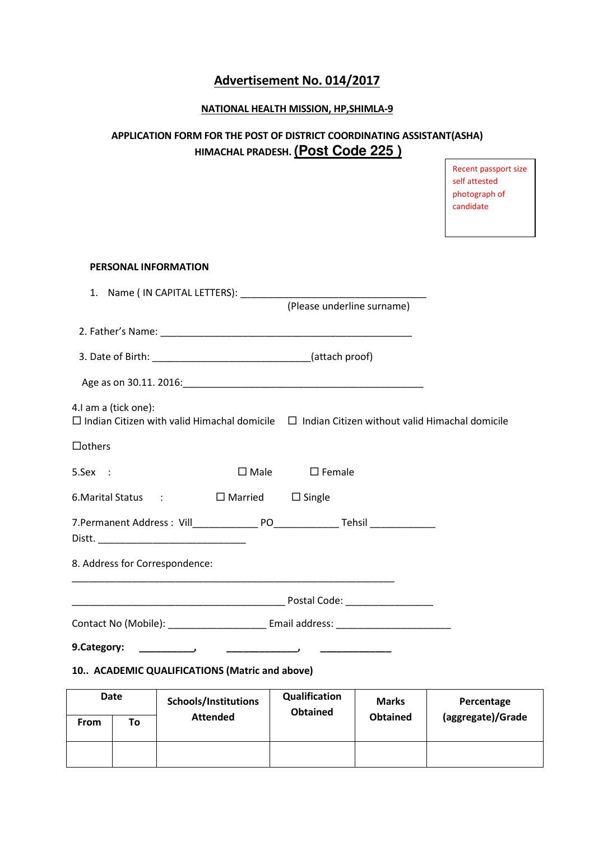# Advertisement No. 014/2017

## NATIONAL HEALTH MISSION, HP,SHIMLA-9

# APPLICATION FORM FOR THE POST OF DISTRICT COORDINATING ASSISTANT(ASHA) HIMACHAL PRADESH. **(Post Code 225 )**

# PERSONAL INFORMATION 1. Name ( IN CAPITAL LETTERS): \_\_\_\_\_\_\_\_\_\_\_\_\_\_\_\_\_\_\_\_\_\_\_\_\_\_\_\_\_\_\_\_\_\_ (Please underline surname) 2. Father's Name: **We are all that the set of the set of the set of the set of the set of the set of the set of the set of the set of the set of the set of the set of the set of the set of the set of the set of the set of** 3. Date of Birth:  $($ attach proof) Age as on 30.11. 2016:\_\_\_\_\_\_\_\_\_\_\_\_\_\_\_\_\_\_\_\_\_\_\_\_\_\_\_\_\_\_\_\_\_\_\_\_\_\_\_\_\_\_\_\_ 4.I am a (tick one):  $\Box$  Indian Citizen with valid Himachal domicile  $\Box$  Indian Citizen without valid Himachal domicile  $\Box$ others 5.Sex : □ Male □ Female 6. Marital Status :  $\Box$  Married  $\Box$  Single 7.Permanent Address : Vill\_\_\_\_\_\_\_\_\_\_\_\_\_\_\_\_ PO\_\_\_\_\_\_\_\_\_\_\_\_\_\_\_\_\_Tehsil \_\_\_\_\_\_\_\_\_\_\_ Distt. \_\_\_\_\_\_\_\_\_\_\_\_\_\_\_\_\_\_\_\_\_\_\_\_\_\_\_ 8. Address for Correspondence: \_\_\_\_\_\_\_\_\_\_\_\_\_\_\_\_\_\_\_\_\_\_\_\_\_\_\_\_\_\_\_\_\_\_\_\_\_\_\_\_\_\_\_\_\_\_\_\_\_\_\_\_\_\_\_\_\_\_\_ \_\_\_\_\_\_\_\_\_\_\_\_\_\_\_\_\_\_\_\_\_\_\_\_\_\_\_\_\_\_\_\_\_\_\_\_\_\_\_ Postal Code: \_\_\_\_\_\_\_\_\_\_\_\_\_\_\_\_ Contact No (Mobile): \_\_\_\_\_\_\_\_\_\_\_\_\_\_\_\_\_\_ Email address: \_\_\_\_\_\_\_\_\_\_\_\_\_\_\_\_\_\_\_\_\_ 9.Category: \_\_\_\_\_\_\_\_\_\_, \_\_\_\_\_\_\_\_\_\_\_\_\_, \_\_\_\_\_\_\_\_\_\_\_\_\_ 10.. ACADEMIC QUALIFICATIONS (Matric and above)

| <b>Date</b> |    | Schools/Institutions | Qualification<br><b>Obtained</b> | <b>Marks</b>    | Percentage        |
|-------------|----|----------------------|----------------------------------|-----------------|-------------------|
| <b>From</b> | To | <b>Attended</b>      |                                  | <b>Obtained</b> | (aggregate)/Grade |
|             |    |                      |                                  |                 |                   |